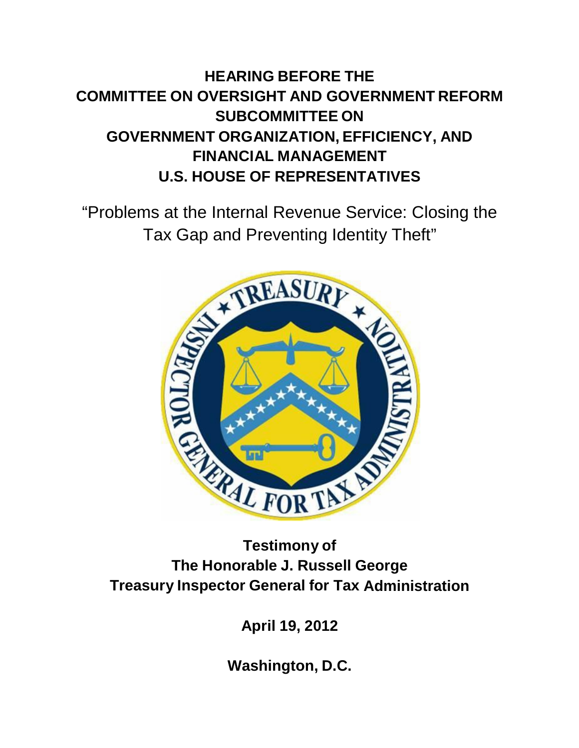# **HEARING BEFORE THE COMMITTEE ON OVERSIGHT AND GOVERNMENT REFORM SUBCOMMITTEE ON GOVERNMENT ORGANIZATION, EFFICIENCY, AND FINANCIAL MANAGEMENT U.S. HOUSE OF REPRESENTATIVES**

"Problems at the Internal Revenue Service: Closing the Tax Gap and Preventing Identity Theft"



**Testimony of The Honorable J. Russell George Treasury Inspector General for Tax Administration**

**April 19, 2012**

**Washington, D.C.**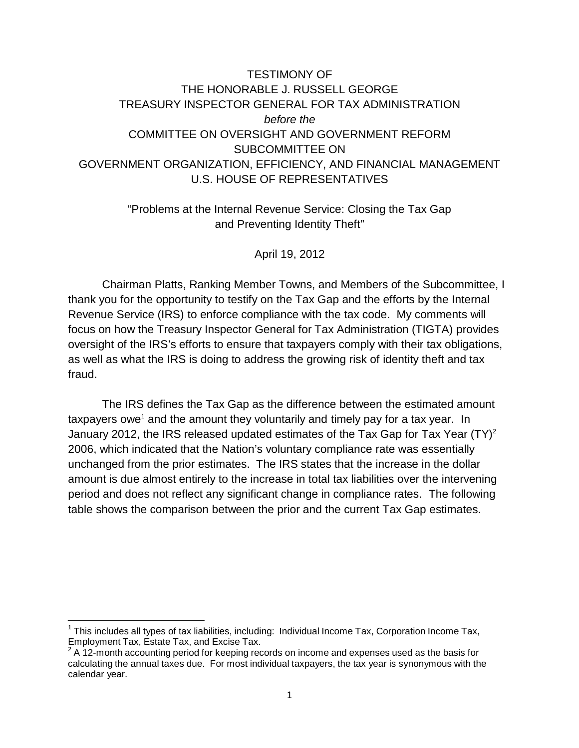# TESTIMONY OF THE HONORABLE J. RUSSELL GEORGE TREASURY INSPECTOR GENERAL FOR TAX ADMINISTRATION *before the* COMMITTEE ON OVERSIGHT AND GOVERNMENT REFORM SUBCOMMITTEE ON GOVERNMENT ORGANIZATION, EFFICIENCY, AND FINANCIAL MANAGEMENT U.S. HOUSE OF REPRESENTATIVES

## "Problems at the Internal Revenue Service: Closing the Tax Gap and Preventing Identity Theft"

April 19, 2012

Chairman Platts, Ranking Member Towns, and Members of the Subcommittee, I thank you for the opportunity to testify on the Tax Gap and the efforts by the Internal Revenue Service (IRS) to enforce compliance with the tax code. My comments will focus on how the Treasury Inspector General for Tax Administration (TIGTA) provides oversight of the IRS's efforts to ensure that taxpayers comply with their tax obligations, as well as what the IRS is doing to address the growing risk of identity theft and tax fraud.

The IRS defines the Tax Gap as the difference between the estimated amount taxpayers owe<sup>1</sup> and the amount they voluntarily and timely pay for a tax year. In January 2012, the IRS released updated estimates of the Tax Gap for Tax Year (TY) $^{\scriptscriptstyle 2}$ 2006, which indicated that the Nation's voluntary compliance rate was essentially unchanged from the prior estimates. The IRS states that the increase in the dollar amount is due almost entirely to the increase in total tax liabilities over the intervening period and does not reflect any significant change in compliance rates. The following table shows the comparison between the prior and the current Tax Gap estimates.

 $1$  This includes all types of tax liabilities, including: Individual Income Tax, Corporation Income Tax, Estate Tax, and Excise Tax.

 $2^2$  A 12-month accounting period for keeping records on income and expenses used as the basis for calculating the annual taxes due. For most individual taxpayers, the tax year is synonymous with the calendar year.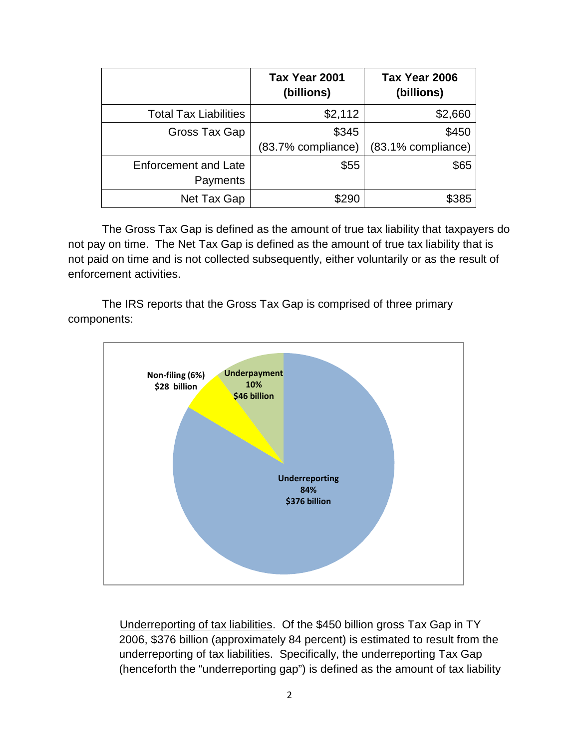|                                         | Tax Year 2001<br>(billions) | Tax Year 2006<br>(billions) |
|-----------------------------------------|-----------------------------|-----------------------------|
| <b>Total Tax Liabilities</b>            | \$2,112                     | \$2,660                     |
| Gross Tax Gap                           | \$345<br>(83.7% compliance) | \$450<br>(83.1% compliance) |
| <b>Enforcement and Late</b><br>Payments | \$55                        | \$65                        |
| Net Tax Gap                             | \$290                       | \$385                       |

The Gross Tax Gap is defined as the amount of true tax liability that taxpayers do not pay on time. The Net Tax Gap is defined as the amount of true tax liability that is not paid on time and is not collected subsequently, either voluntarily or as the result of enforcement activities.

The IRS reports that the Gross Tax Gap is comprised of three primary components:



 Underreporting of tax liabilities. Of the \$450 billion gross Tax Gap in TY 2006, \$376 billion (approximately 84 percent) is estimated to result from the underreporting of tax liabilities. Specifically, the underreporting Tax Gap (henceforth the "underreporting gap") is defined as the amount of tax liability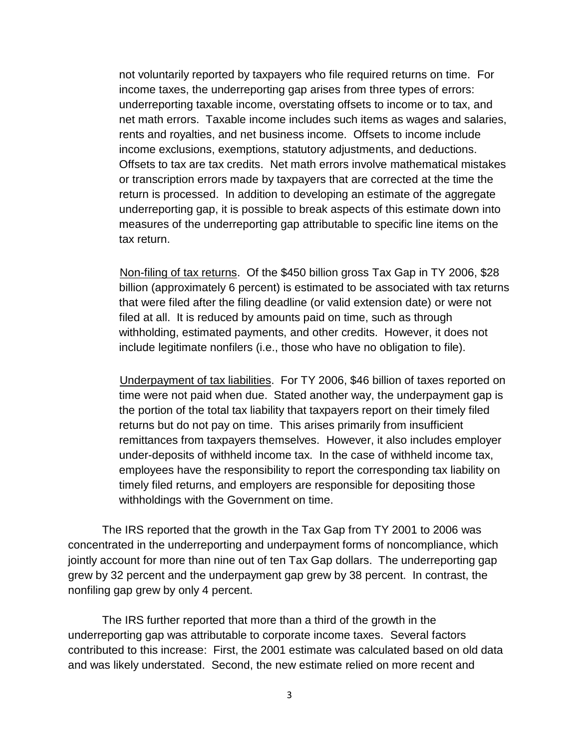not voluntarily reported by taxpayers who file required returns on time. For income taxes, the underreporting gap arises from three types of errors: underreporting taxable income, overstating offsets to income or to tax, and net math errors. Taxable income includes such items as wages and salaries, rents and royalties, and net business income. Offsets to income include income exclusions, exemptions, statutory adjustments, and deductions. Offsets to tax are tax credits. Net math errors involve mathematical mistakes or transcription errors made by taxpayers that are corrected at the time the return is processed. In addition to developing an estimate of the aggregate underreporting gap, it is possible to break aspects of this estimate down into measures of the underreporting gap attributable to specific line items on the tax return.

 Non-filing of tax returns. Of the \$450 billion gross Tax Gap in TY 2006, \$28 billion (approximately 6 percent) is estimated to be associated with tax returns that were filed after the filing deadline (or valid extension date) or were not filed at all. It is reduced by amounts paid on time, such as through withholding, estimated payments, and other credits. However, it does not include legitimate nonfilers (i.e., those who have no obligation to file).

 Underpayment of tax liabilities. For TY 2006, \$46 billion of taxes reported on time were not paid when due. Stated another way, the underpayment gap is the portion of the total tax liability that taxpayers report on their timely filed returns but do not pay on time. This arises primarily from insufficient remittances from taxpayers themselves. However, it also includes employer under-deposits of withheld income tax. In the case of withheld income tax, employees have the responsibility to report the corresponding tax liability on timely filed returns, and employers are responsible for depositing those withholdings with the Government on time.

The IRS reported that the growth in the Tax Gap from TY 2001 to 2006 was concentrated in the underreporting and underpayment forms of noncompliance, which jointly account for more than nine out of ten Tax Gap dollars. The underreporting gap grew by 32 percent and the underpayment gap grew by 38 percent. In contrast, the nonfiling gap grew by only 4 percent.

The IRS further reported that more than a third of the growth in the underreporting gap was attributable to corporate income taxes. Several factors contributed to this increase: First, the 2001 estimate was calculated based on old data and was likely understated. Second, the new estimate relied on more recent and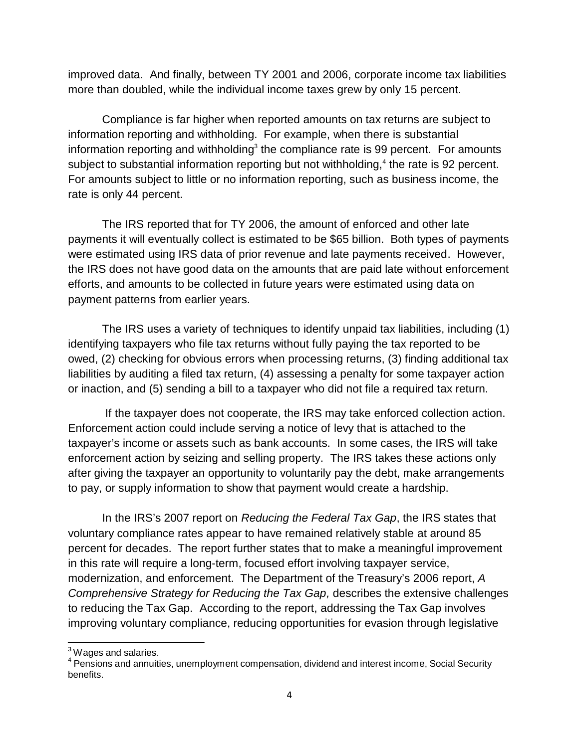improved data. And finally, between TY 2001 and 2006, corporate income tax liabilities more than doubled, while the individual income taxes grew by only 15 percent.

Compliance is far higher when reported amounts on tax returns are subject to information reporting and withholding. For example, when there is substantial information reporting and withholding<sup>3</sup> the compliance rate is 99 percent. For amounts subject to substantial information reporting but not withholding,<sup>4</sup> the rate is 92 percent. For amounts subject to little or no information reporting, such as business income, the rate is only 44 percent.

The IRS reported that for TY 2006, the amount of enforced and other late payments it will eventually collect is estimated to be \$65 billion. Both types of payments were estimated using IRS data of prior revenue and late payments received. However, the IRS does not have good data on the amounts that are paid late without enforcement efforts, and amounts to be collected in future years were estimated using data on payment patterns from earlier years.

The IRS uses a variety of techniques to identify unpaid tax liabilities, including (1) identifying taxpayers who file tax returns without fully paying the tax reported to be owed, (2) checking for obvious errors when processing returns, (3) finding additional tax liabilities by auditing a filed tax return, (4) assessing a penalty for some taxpayer action or inaction, and (5) sending a bill to a taxpayer who did not file a required tax return.

If the taxpayer does not cooperate, the IRS may take enforced collection action. Enforcement action could include serving a notice of levy that is attached to the taxpayer's income or assets such as bank accounts. In some cases, the IRS will take enforcement action by seizing and selling property. The IRS takes these actions only after giving the taxpayer an opportunity to voluntarily pay the debt, make arrangements to pay, or supply information to show that payment would create a hardship.

In the IRS's 2007 report on *Reducing the Federal Tax Gap*, the IRS states that voluntary compliance rates appear to have remained relatively stable at around 85 percent for decades. The report further states that to make a meaningful improvement in this rate will require a long-term, focused effort involving taxpayer service, modernization, and enforcement. The Department of the Treasury's 2006 report, *A Comprehensive Strategy for Reducing the Tax Gap,* describes the extensive challenges to reducing the Tax Gap. According to the report, addressing the Tax Gap involves improving voluntary compliance, reducing opportunities for evasion through legislative

 $3$  Wages and salaries.<br> $4$  Pensions and annuities, unemployment compensation, dividend and interest income, Social Security benefits.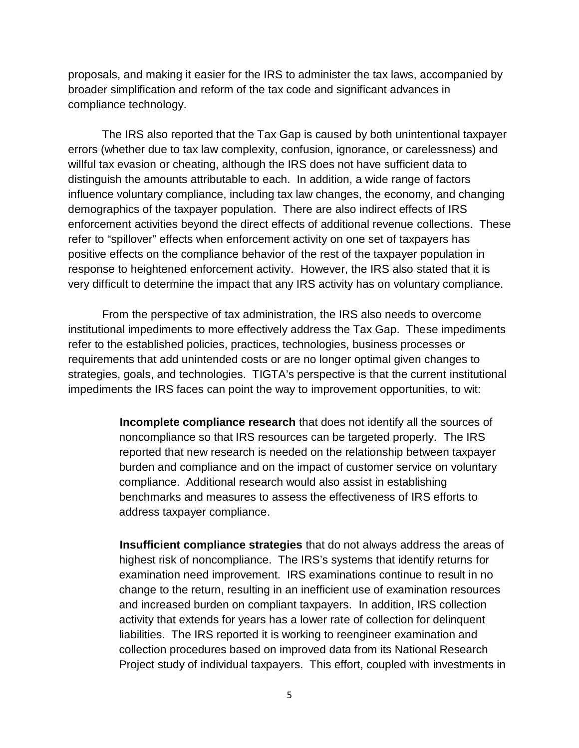proposals, and making it easier for the IRS to administer the tax laws, accompanied by broader simplification and reform of the tax code and significant advances in compliance technology.

The IRS also reported that the Tax Gap is caused by both unintentional taxpayer errors (whether due to tax law complexity, confusion, ignorance, or carelessness) and willful tax evasion or cheating, although the IRS does not have sufficient data to distinguish the amounts attributable to each. In addition, a wide range of factors influence voluntary compliance, including tax law changes, the economy, and changing demographics of the taxpayer population. There are also indirect effects of IRS enforcement activities beyond the direct effects of additional revenue collections. These refer to "spillover" effects when enforcement activity on one set of taxpayers has positive effects on the compliance behavior of the rest of the taxpayer population in response to heightened enforcement activity. However, the IRS also stated that it is very difficult to determine the impact that any IRS activity has on voluntary compliance.

From the perspective of tax administration, the IRS also needs to overcome institutional impediments to more effectively address the Tax Gap. These impediments refer to the established policies, practices, technologies, business processes or requirements that add unintended costs or are no longer optimal given changes to strategies, goals, and technologies. TIGTA's perspective is that the current institutional impediments the IRS faces can point the way to improvement opportunities, to wit:

> **Incomplete compliance research** that does not identify all the sources of noncompliance so that IRS resources can be targeted properly. The IRS reported that new research is needed on the relationship between taxpayer burden and compliance and on the impact of customer service on voluntary compliance. Additional research would also assist in establishing benchmarks and measures to assess the effectiveness of IRS efforts to address taxpayer compliance.

 **Insufficient compliance strategies** that do not always address the areas of highest risk of noncompliance. The IRS's systems that identify returns for examination need improvement. IRS examinations continue to result in no change to the return, resulting in an inefficient use of examination resources and increased burden on compliant taxpayers. In addition, IRS collection activity that extends for years has a lower rate of collection for delinquent liabilities. The IRS reported it is working to reengineer examination and collection procedures based on improved data from its National Research Project study of individual taxpayers. This effort, coupled with investments in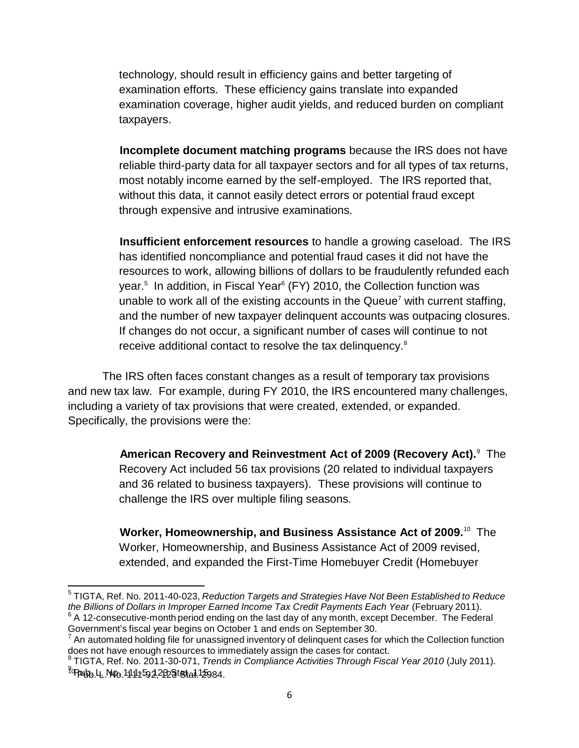technology, should result in efficiency gains and better targeting of examination efforts. These efficiency gains translate into expanded examination coverage, higher audit yields, and reduced burden on compliant taxpayers.

 **Incomplete document matching programs** because the IRS does not have reliable third-party data for all taxpayer sectors and for all types of tax returns, most notably income earned by the self-employed. The IRS reported that, without this data, it cannot easily detect errors or potential fraud except through expensive and intrusive examinations.

 **Insufficient enforcement resources** to handle a growing caseload. The IRS has identified noncompliance and potential fraud cases it did not have the resources to work, allowing billions of dollars to be fraudulently refunded each year.<sup>5</sup> In addition, in Fiscal Year<sup>6</sup> (FY) 2010, the Collection function was unable to work all of the existing accounts in the Queue<sup>7</sup> with current staffing, and the number of new taxpayer delinquent accounts was outpacing closures. If changes do not occur, a significant number of cases will continue to not receive additional contact to resolve the tax delinquency.<sup>8</sup>

The IRS often faces constant changes as a result of temporary tax provisions and new tax law. For example, during FY 2010, the IRS encountered many challenges, including a variety of tax provisions that were created, extended, or expanded. Specifically, the provisions were the:

> **American Recovery and Reinvestment Act of 2009 (Recovery Act).** 9 The Recovery Act included 56 tax provisions (20 related to individual taxpayers and 36 related to business taxpayers). These provisions will continue to challenge the IRS over multiple filing seasons.

 **Worker, Homeownership, and Business Assistance Act of 2009.** 10 The Worker, Homeownership, and Business Assistance Act of 2009 revised, extended, and expanded the First-Time Homebuyer Credit (Homebuyer

<sup>5</sup> TIGTA, Ref. No. 2011-40-023, *Reduction Targets and Strategies Have Not Been Established to Reduce* 

 $6$  A 12-consecutive-month period ending on the last day of any month, except December. The Federal Government's fiscal year begins on October 1 and ends on September 30.

An automated holding file for unassigned inventory of delinguent cases for which the Collection function does not have enough resources to immediately assign the cases for contact.

<sup>&</sup>lt;sup>9</sup>0 Pub. LL. No. 1111 1592, 282 St**e**ta 1. 1259 84. <sup>8</sup> TIGTA, Ref. No. 2011-30-071, *Trends in Compliance Activities Through Fiscal Year 2010* (July 2011).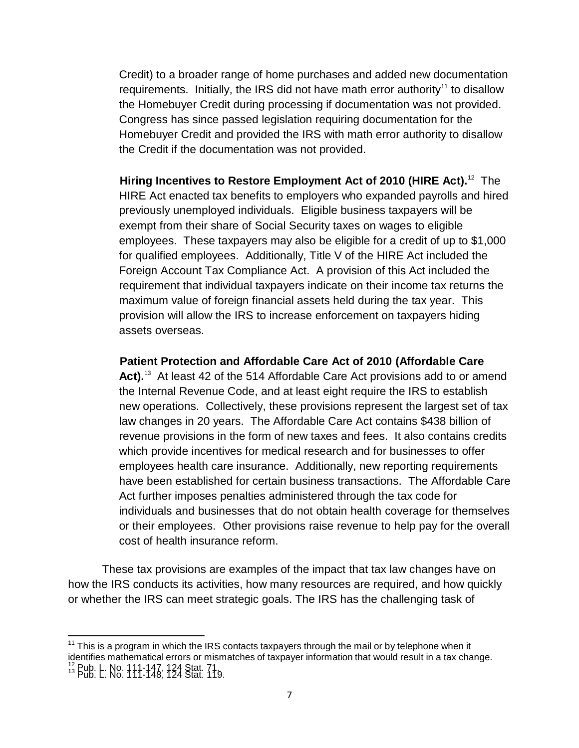Credit) to a broader range of home purchases and added new documentation requirements. Initially, the IRS did not have math error authority<sup>11</sup> to disallow the Homebuyer Credit during processing if documentation was not provided. Congress has since passed legislation requiring documentation for the Homebuyer Credit and provided the IRS with math error authority to disallow the Credit if the documentation was not provided.

 **Hiring Incentives to Restore Employment Act of 2010 (HIRE Act).** 12 The HIRE Act enacted tax benefits to employers who expanded payrolls and hired previously unemployed individuals. Eligible business taxpayers will be exempt from their share of Social Security taxes on wages to eligible employees. These taxpayers may also be eligible for a credit of up to \$1,000 for qualified employees. Additionally, Title V of the HIRE Act included the Foreign Account Tax Compliance Act. A provision of this Act included the requirement that individual taxpayers indicate on their income tax returns the maximum value of foreign financial assets held during the tax year. This provision will allow the IRS to increase enforcement on taxpayers hiding assets overseas.

#### **Patient Protection and Affordable Care Act of 2010 (Affordable Care**

Act).<sup>13</sup> At least 42 of the 514 Affordable Care Act provisions add to or amend the Internal Revenue Code, and at least eight require the IRS to establish new operations. Collectively, these provisions represent the largest set of tax law changes in 20 years. The Affordable Care Act contains \$438 billion of revenue provisions in the form of new taxes and fees. It also contains credits which provide incentives for medical research and for businesses to offer employees health care insurance. Additionally, new reporting requirements have been established for certain business transactions. The Affordable Care Act further imposes penalties administered through the tax code for individuals and businesses that do not obtain health coverage for themselves or their employees. Other provisions raise revenue to help pay for the overall cost of health insurance reform.

These tax provisions are examples of the impact that tax law changes have on how the IRS conducts its activities, how many resources are required, and how quickly or whether the IRS can meet strategic goals. The IRS has the challenging task of

 $^{12}_{13}$  Pub. L. No. 111-147, 124 Stat. 719.  $11$  This is a program in which the IRS contacts taxpayers through the mail or by telephone when it identifies mathematical errors or mismatches of taxpayer information that would result in a tax change.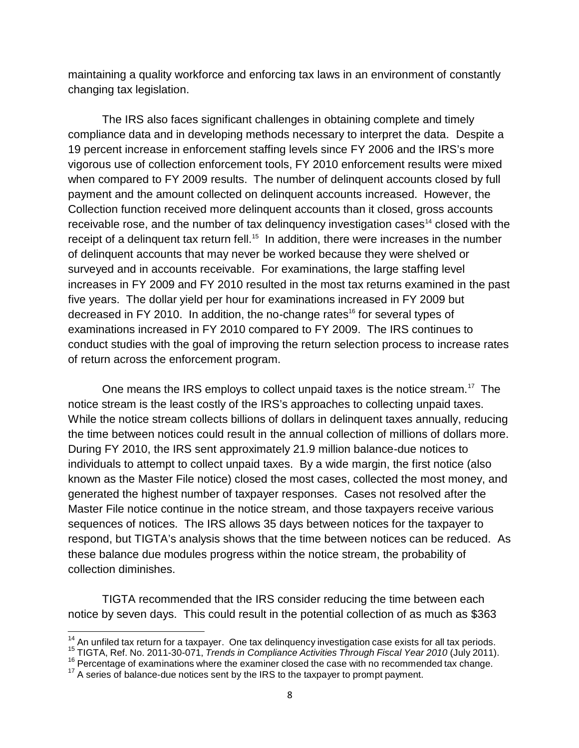maintaining a quality workforce and enforcing tax laws in an environment of constantly changing tax legislation.

The IRS also faces significant challenges in obtaining complete and timely compliance data and in developing methods necessary to interpret the data. Despite a 19 percent increase in enforcement staffing levels since FY 2006 and the IRS's more vigorous use of collection enforcement tools, FY 2010 enforcement results were mixed when compared to FY 2009 results. The number of delinquent accounts closed by full payment and the amount collected on delinquent accounts increased. However, the Collection function received more delinquent accounts than it closed, gross accounts receivable rose, and the number of tax delinguency investigation cases<sup>14</sup> closed with the receipt of a delinquent tax return fell.<sup>15</sup> In addition, there were increases in the number of delinquent accounts that may never be worked because they were shelved or surveyed and in accounts receivable. For examinations, the large staffing level increases in FY 2009 and FY 2010 resulted in the most tax returns examined in the past five years. The dollar yield per hour for examinations increased in FY 2009 but decreased in FY 2010. In addition, the no-change rates<sup>16</sup> for several types of examinations increased in FY 2010 compared to FY 2009. The IRS continues to conduct studies with the goal of improving the return selection process to increase rates of return across the enforcement program.

One means the IRS employs to collect unpaid taxes is the notice stream.<sup>17</sup> The notice stream is the least costly of the IRS's approaches to collecting unpaid taxes. While the notice stream collects billions of dollars in delinquent taxes annually, reducing the time between notices could result in the annual collection of millions of dollars more. During FY 2010, the IRS sent approximately 21.9 million balance-due notices to individuals to attempt to collect unpaid taxes. By a wide margin, the first notice (also known as the Master File notice) closed the most cases, collected the most money, and generated the highest number of taxpayer responses. Cases not resolved after the Master File notice continue in the notice stream, and those taxpayers receive various sequences of notices. The IRS allows 35 days between notices for the taxpayer to respond, but TIGTA's analysis shows that the time between notices can be reduced. As these balance due modules progress within the notice stream, the probability of collection diminishes.

TIGTA recommended that the IRS consider reducing the time between each notice by seven days. This could result in the potential collection of as much as \$363

<sup>&</sup>lt;sup>14</sup> An unfiled tax return for a taxpayer. One tax delinquency investigation case exists for all tax periods.<br><sup>15</sup> TIGTA, Ref. No. 2011-30-071, *Trends in Compliance Activities Through Fiscal Year 2010* (July 2011).

<sup>&</sup>lt;sup>16</sup> Percentage of examinations where the examiner closed the case with no recommended tax change.<br><sup>17</sup> A series of balance-due notices sent by the IRS to the taxpayer to prompt payment.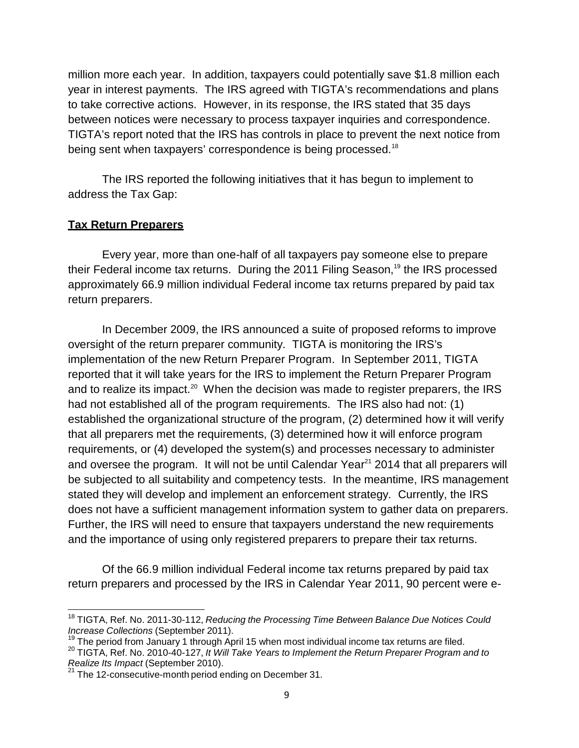million more each year. In addition, taxpayers could potentially save \$1.8 million each year in interest payments. The IRS agreed with TIGTA's recommendations and plans to take corrective actions. However, in its response, the IRS stated that 35 days between notices were necessary to process taxpayer inquiries and correspondence. TIGTA's report noted that the IRS has controls in place to prevent the next notice from being sent when taxpayers' correspondence is being processed.<sup>18</sup>

The IRS reported the following initiatives that it has begun to implement to address the Tax Gap:

# **Tax Return Preparers**

Every year, more than one-half of all taxpayers pay someone else to prepare their Federal income tax returns. During the 2011 Filing Season, <sup>19</sup> the IRS processed approximately 66.9 million individual Federal income tax returns prepared by paid tax return preparers.

In December 2009, the IRS announced a suite of proposed reforms to improve oversight of the return preparer community. TIGTA is monitoring the IRS's implementation of the new Return Preparer Program. In September 2011, TIGTA reported that it will take years for the IRS to implement the Return Preparer Program and to realize its impact.<sup>20</sup> When the decision was made to register preparers, the IRS had not established all of the program requirements. The IRS also had not: (1) established the organizational structure of the program, (2) determined how it will verify that all preparers met the requirements, (3) determined how it will enforce program requirements, or (4) developed the system(s) and processes necessary to administer and oversee the program. It will not be until Calendar Year<sup>21</sup> 2014 that all preparers will be subjected to all suitability and competency tests. In the meantime, IRS management stated they will develop and implement an enforcement strategy. Currently, the IRS does not have a sufficient management information system to gather data on preparers. Further, the IRS will need to ensure that taxpayers understand the new requirements and the importance of using only registered preparers to prepare their tax returns.

Of the 66.9 million individual Federal income tax returns prepared by paid tax return preparers and processed by the IRS in Calendar Year 2011, 90 percent were e-

<sup>18</sup> TIGTA, Ref. No. 2011-30-112, *Reducing the Processing Time Between Balance Due Notices Could*

<sup>&</sup>lt;sup>19</sup> The period from January 1 through April 15 when most individual income tax returns are filed. <sup>20</sup> TIGTA, Ref. No. 2010-40-127, *It Will Take Years to Implement the Return Preparer Program and to*

*Realize Its Impact* (September 2010). <sup>21</sup> The 12-consecutive-month period ending on December 31.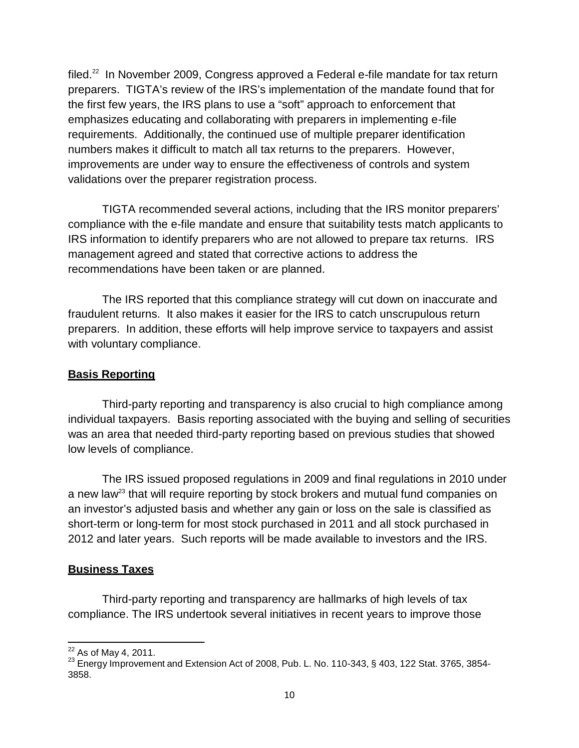filed.<sup>22</sup> In November 2009, Congress approved a Federal e-file mandate for tax return preparers. TIGTA's review of the IRS's implementation of the mandate found that for the first few years, the IRS plans to use a "soft" approach to enforcement that emphasizes educating and collaborating with preparers in implementing e-file requirements. Additionally, the continued use of multiple preparer identification numbers makes it difficult to match all tax returns to the preparers. However, improvements are under way to ensure the effectiveness of controls and system validations over the preparer registration process.

TIGTA recommended several actions, including that the IRS monitor preparers' compliance with the e-file mandate and ensure that suitability tests match applicants to IRS information to identify preparers who are not allowed to prepare tax returns. IRS management agreed and stated that corrective actions to address the recommendations have been taken or are planned.

The IRS reported that this compliance strategy will cut down on inaccurate and fraudulent returns. It also makes it easier for the IRS to catch unscrupulous return preparers. In addition, these efforts will help improve service to taxpayers and assist with voluntary compliance.

#### **Basis Reporting**

Third-party reporting and transparency is also crucial to high compliance among individual taxpayers. Basis reporting associated with the buying and selling of securities was an area that needed third-party reporting based on previous studies that showed low levels of compliance.

The IRS issued proposed regulations in 2009 and final regulations in 2010 under a new law<sup>23</sup> that will require reporting by stock brokers and mutual fund companies on an investor's adjusted basis and whether any gain or loss on the sale is classified as short-term or long-term for most stock purchased in 2011 and all stock purchased in 2012 and later years. Such reports will be made available to investors and the IRS.

# **Business Taxes**

Third-party reporting and transparency are hallmarks of high levels of tax compliance. The IRS undertook several initiatives in recent years to improve those

 $22$  As of May 4, 2011.

 $^{23}$  Energy Improvement and Extension Act of 2008, Pub. L. No. 110-343, § 403, 122 Stat. 3765, 3854-3858.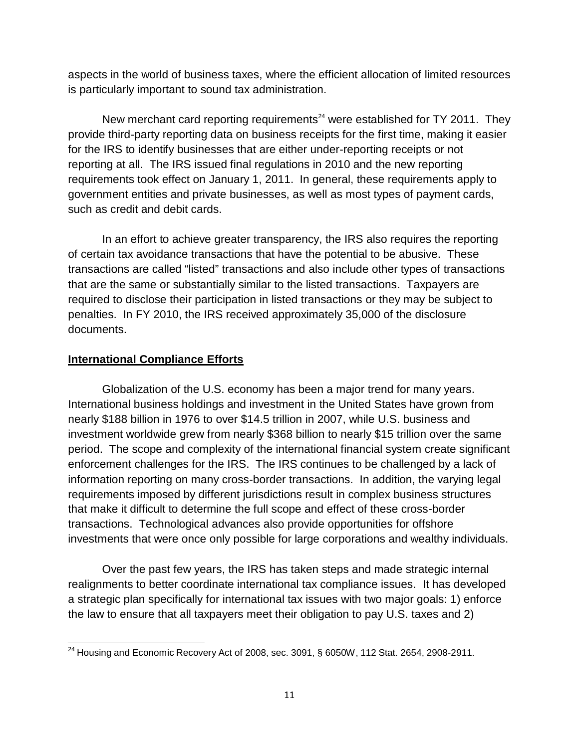aspects in the world of business taxes, where the efficient allocation of limited resources is particularly important to sound tax administration.

New merchant card reporting requirements<sup>24</sup> were established for TY 2011. They provide third-party reporting data on business receipts for the first time, making it easier for the IRS to identify businesses that are either under-reporting receipts or not reporting at all. The IRS issued final regulations in 2010 and the new reporting requirements took effect on January 1, 2011. In general, these requirements apply to government entities and private businesses, as well as most types of payment cards, such as credit and debit cards.

In an effort to achieve greater transparency, the IRS also requires the reporting of certain tax avoidance transactions that have the potential to be abusive. These transactions are called "listed" transactions and also include other types of transactions that are the same or substantially similar to the listed transactions. Taxpayers are required to disclose their participation in listed transactions or they may be subject to penalties. In FY 2010, the IRS received approximately 35,000 of the disclosure documents.

#### **International Compliance Efforts**

Globalization of the U.S. economy has been a major trend for many years. International business holdings and investment in the United States have grown from nearly \$188 billion in 1976 to over \$14.5 trillion in 2007, while U.S. business and investment worldwide grew from nearly \$368 billion to nearly \$15 trillion over the same period. The scope and complexity of the international financial system create significant enforcement challenges for the IRS. The IRS continues to be challenged by a lack of information reporting on many cross-border transactions. In addition, the varying legal requirements imposed by different jurisdictions result in complex business structures that make it difficult to determine the full scope and effect of these cross-border transactions. Technological advances also provide opportunities for offshore investments that were once only possible for large corporations and wealthy individuals.

Over the past few years, the IRS has taken steps and made strategic internal realignments to better coordinate international tax compliance issues. It has developed a strategic plan specifically for international tax issues with two major goals: 1) enforce the law to ensure that all taxpayers meet their obligation to pay U.S. taxes and 2)

<sup>&</sup>lt;sup>24</sup> Housing and Economic Recovery Act of 2008, sec. 3091, § 6050W, 112 Stat. 2654, 2908-2911.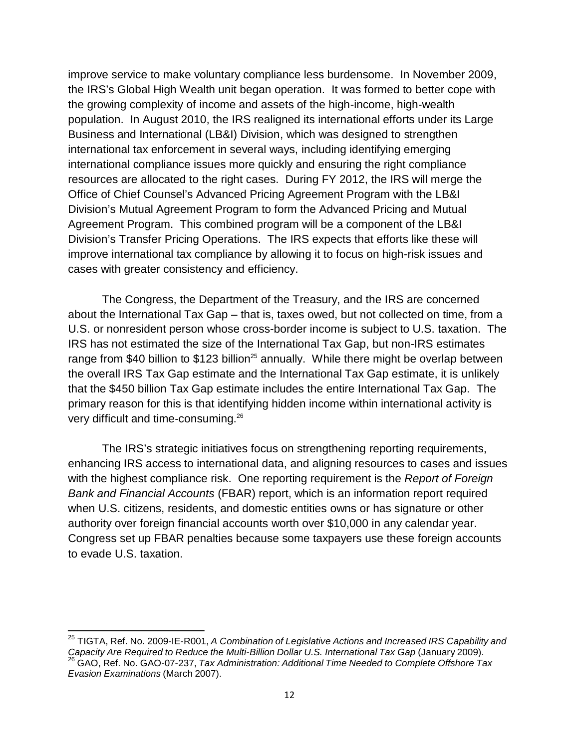improve service to make voluntary compliance less burdensome. In November 2009, the IRS's Global High Wealth unit began operation. It was formed to better cope with the growing complexity of income and assets of the high-income, high-wealth population. In August 2010, the IRS realigned its international efforts under its Large Business and International (LB&I) Division, which was designed to strengthen international tax enforcement in several ways, including identifying emerging international compliance issues more quickly and ensuring the right compliance resources are allocated to the right cases. During FY 2012, the IRS will merge the Office of Chief Counsel's Advanced Pricing Agreement Program with the LB&I Division's Mutual Agreement Program to form the Advanced Pricing and Mutual Agreement Program. This combined program will be a component of the LB&I Division's Transfer Pricing Operations. The IRS expects that efforts like these will improve international tax compliance by allowing it to focus on high-risk issues and cases with greater consistency and efficiency.

The Congress, the Department of the Treasury, and the IRS are concerned about the International Tax Gap – that is, taxes owed, but not collected on time, from a U.S. or nonresident person whose cross-border income is subject to U.S. taxation. The IRS has not estimated the size of the International Tax Gap, but non-IRS estimates range from \$40 billion to \$123 billion<sup>25</sup> annually. While there might be overlap between the overall IRS Tax Gap estimate and the International Tax Gap estimate, it is unlikely that the \$450 billion Tax Gap estimate includes the entire International Tax Gap. The primary reason for this is that identifying hidden income within international activity is very difficult and time-consuming.<sup>26</sup>

The IRS's strategic initiatives focus on strengthening reporting requirements, enhancing IRS access to international data, and aligning resources to cases and issues with the highest compliance risk. One reporting requirement is the *Report of Foreign Bank and Financial Accounts* (FBAR) report, which is an information report required when U.S. citizens, residents, and domestic entities owns or has signature or other authority over foreign financial accounts worth over \$10,000 in any calendar year. Congress set up FBAR penalties because some taxpayers use these foreign accounts to evade U.S. taxation.

<sup>25</sup> TIGTA, Ref. No. 2009-IE-R001, *A Combination of Legislative Actions and Increased IRS Capability and* Capacity Are Required to Reduce the Multi-Billion Dollar U.S. International Tax Gap (January 2009).<br><sup>26</sup> GAO, Ref. No. GAO-07-237, Tax Administration: Additional Time Needed to Complete Offshore Tax *Evasion Examinations* (March 2007).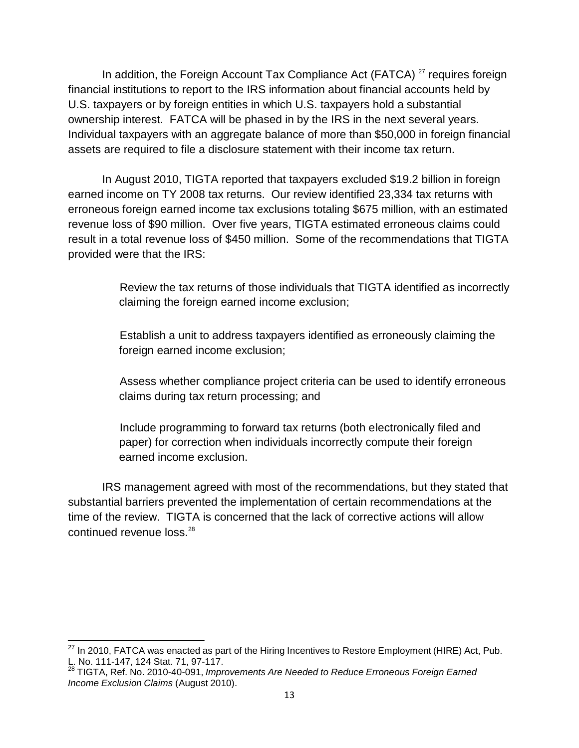In addition, the Foreign Account Tax Compliance Act (FATCA)<sup>27</sup> requires foreign financial institutions to report to the IRS information about financial accounts held by U.S. taxpayers or by foreign entities in which U.S. taxpayers hold a substantial ownership interest. FATCA will be phased in by the IRS in the next several years. Individual taxpayers with an aggregate balance of more than \$50,000 in foreign financial assets are required to file a disclosure statement with their income tax return.

In August 2010, TIGTA reported that taxpayers excluded \$19.2 billion in foreign earned income on TY 2008 tax returns. Our review identified 23,334 tax returns with erroneous foreign earned income tax exclusions totaling \$675 million, with an estimated revenue loss of \$90 million. Over five years, TIGTA estimated erroneous claims could result in a total revenue loss of \$450 million. Some of the recommendations that TIGTA provided were that the IRS:

> Review the tax returns of those individuals that TIGTA identified as incorrectly claiming the foreign earned income exclusion;

 Establish a unit to address taxpayers identified as erroneously claiming the foreign earned income exclusion;

 Assess whether compliance project criteria can be used to identify erroneous claims during tax return processing; and

 Include programming to forward tax returns (both electronically filed and paper) for correction when individuals incorrectly compute their foreign earned income exclusion.

IRS management agreed with most of the recommendations, but they stated that substantial barriers prevented the implementation of certain recommendations at the time of the review. TIGTA is concerned that the lack of corrective actions will allow continued revenue loss. 28

 $^{27}$  In 2010, FATCA was enacted as part of the Hiring Incentives to Restore Employment (HIRE) Act, Pub.<br>L. No. 111-147, 124 Stat. 71, 97-117.

L. No. 111-147, <sup>124</sup> Stat. 71, 97-117. <sup>28</sup> TIGTA, Ref. No. 2010-40-091, *Improvements Are Needed to Reduce Erroneous Foreign Earned Income Exclusion Claims* (August 2010).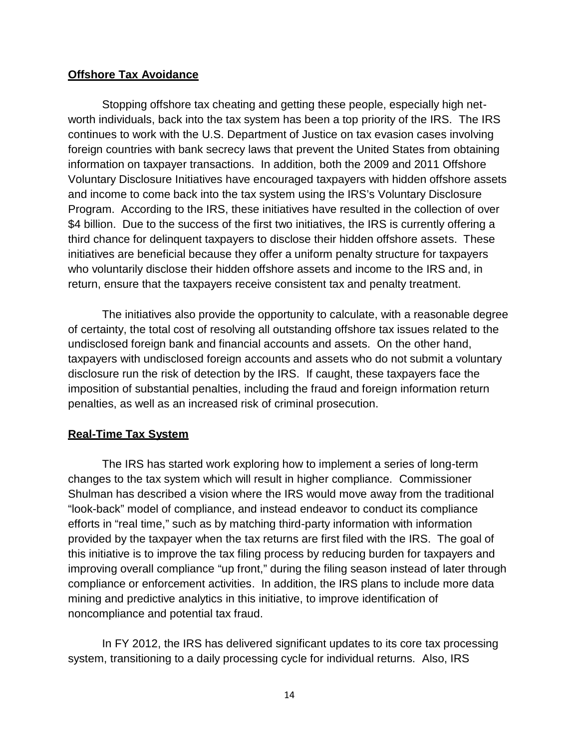#### **Offshore Tax Avoidance**

Stopping offshore tax cheating and getting these people, especially high networth individuals, back into the tax system has been a top priority of the IRS. The IRS continues to work with the U.S. Department of Justice on tax evasion cases involving foreign countries with bank secrecy laws that prevent the United States from obtaining information on taxpayer transactions. In addition, both the 2009 and 2011 Offshore Voluntary Disclosure Initiatives have encouraged taxpayers with hidden offshore assets and income to come back into the tax system using the IRS's Voluntary Disclosure Program. According to the IRS, these initiatives have resulted in the collection of over \$4 billion. Due to the success of the first two initiatives, the IRS is currently offering a third chance for delinquent taxpayers to disclose their hidden offshore assets. These initiatives are beneficial because they offer a uniform penalty structure for taxpayers who voluntarily disclose their hidden offshore assets and income to the IRS and, in return, ensure that the taxpayers receive consistent tax and penalty treatment.

The initiatives also provide the opportunity to calculate, with a reasonable degree of certainty, the total cost of resolving all outstanding offshore tax issues related to the undisclosed foreign bank and financial accounts and assets. On the other hand, taxpayers with undisclosed foreign accounts and assets who do not submit a voluntary disclosure run the risk of detection by the IRS. If caught, these taxpayers face the imposition of substantial penalties, including the fraud and foreign information return penalties, as well as an increased risk of criminal prosecution.

#### **Real-Time Tax System**

The IRS has started work exploring how to implement a series of long-term changes to the tax system which will result in higher compliance. Commissioner Shulman has described a vision where the IRS would move away from the traditional "look-back" model of compliance, and instead endeavor to conduct its compliance efforts in "real time," such as by matching third-party information with information provided by the taxpayer when the tax returns are first filed with the IRS. The goal of this initiative is to improve the tax filing process by reducing burden for taxpayers and improving overall compliance "up front," during the filing season instead of later through compliance or enforcement activities. In addition, the IRS plans to include more data mining and predictive analytics in this initiative, to improve identification of noncompliance and potential tax fraud.

In FY 2012, the IRS has delivered significant updates to its core tax processing system, transitioning to a daily processing cycle for individual returns. Also, IRS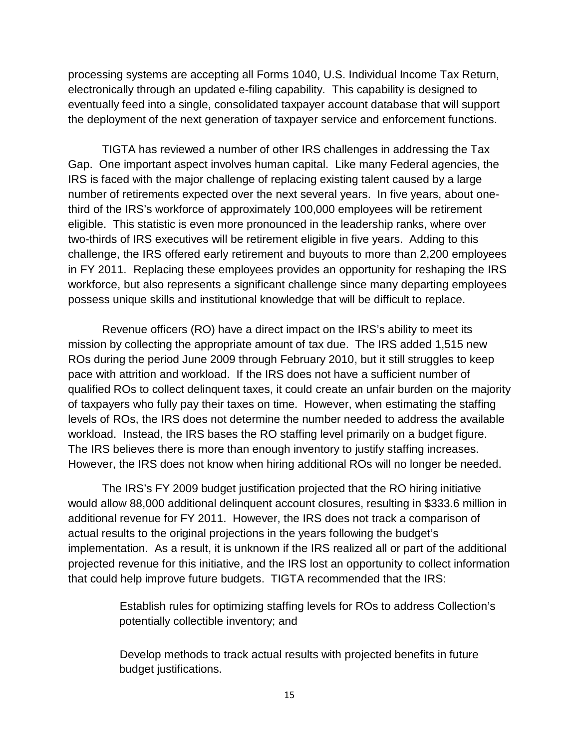processing systems are accepting all Forms 1040, U.S. Individual Income Tax Return, electronically through an updated e-filing capability. This capability is designed to eventually feed into a single, consolidated taxpayer account database that will support the deployment of the next generation of taxpayer service and enforcement functions.

TIGTA has reviewed a number of other IRS challenges in addressing the Tax Gap. One important aspect involves human capital. Like many Federal agencies, the IRS is faced with the major challenge of replacing existing talent caused by a large number of retirements expected over the next several years. In five years, about onethird of the IRS's workforce of approximately 100,000 employees will be retirement eligible. This statistic is even more pronounced in the leadership ranks, where over two-thirds of IRS executives will be retirement eligible in five years. Adding to this challenge, the IRS offered early retirement and buyouts to more than 2,200 employees in FY 2011. Replacing these employees provides an opportunity for reshaping the IRS workforce, but also represents a significant challenge since many departing employees possess unique skills and institutional knowledge that will be difficult to replace.

Revenue officers (RO) have a direct impact on the IRS's ability to meet its mission by collecting the appropriate amount of tax due. The IRS added 1,515 new ROs during the period June 2009 through February 2010, but it still struggles to keep pace with attrition and workload. If the IRS does not have a sufficient number of qualified ROs to collect delinquent taxes, it could create an unfair burden on the majority of taxpayers who fully pay their taxes on time. However, when estimating the staffing levels of ROs, the IRS does not determine the number needed to address the available workload. Instead, the IRS bases the RO staffing level primarily on a budget figure. The IRS believes there is more than enough inventory to justify staffing increases. However, the IRS does not know when hiring additional ROs will no longer be needed.

The IRS's FY 2009 budget justification projected that the RO hiring initiative would allow 88,000 additional delinquent account closures, resulting in \$333.6 million in additional revenue for FY 2011. However, the IRS does not track a comparison of actual results to the original projections in the years following the budget's implementation. As a result, it is unknown if the IRS realized all or part of the additional projected revenue for this initiative, and the IRS lost an opportunity to collect information that could help improve future budgets. TIGTA recommended that the IRS:

> Establish rules for optimizing staffing levels for ROs to address Collection's potentially collectible inventory; and

 Develop methods to track actual results with projected benefits in future budget justifications.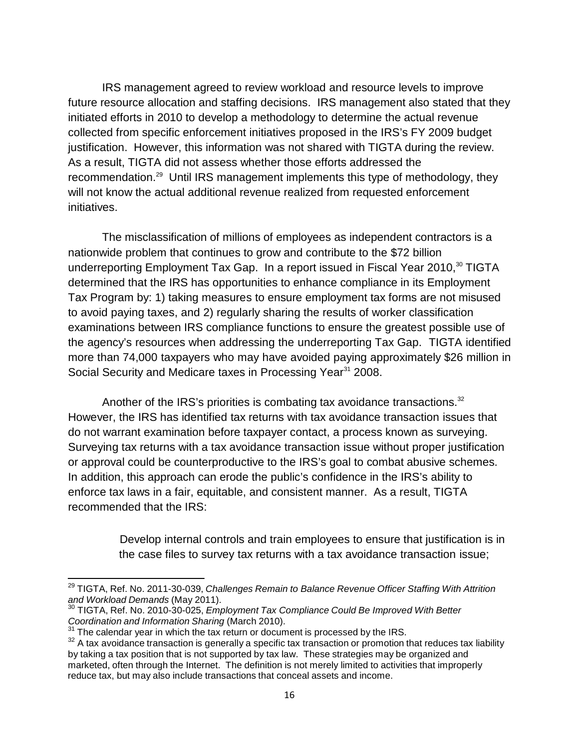IRS management agreed to review workload and resource levels to improve future resource allocation and staffing decisions. IRS management also stated that they initiated efforts in 2010 to develop a methodology to determine the actual revenue collected from specific enforcement initiatives proposed in the IRS's FY 2009 budget justification. However, this information was not shared with TIGTA during the review. As a result, TIGTA did not assess whether those efforts addressed the recommendation.<sup>29</sup> Until IRS management implements this type of methodology, they will not know the actual additional revenue realized from requested enforcement initiatives.

The misclassification of millions of employees as independent contractors is a nationwide problem that continues to grow and contribute to the \$72 billion underreporting Employment Tax Gap. In a report issued in Fiscal Year 2010,<sup>30</sup> TIGTA determined that the IRS has opportunities to enhance compliance in its Employment Tax Program by: 1) taking measures to ensure employment tax forms are not misused to avoid paying taxes, and 2) regularly sharing the results of worker classification examinations between IRS compliance functions to ensure the greatest possible use of the agency's resources when addressing the underreporting Tax Gap. TIGTA identified more than 74,000 taxpayers who may have avoided paying approximately \$26 million in Social Security and Medicare taxes in Processing Year<sup>31</sup> 2008.

Another of the IRS's priorities is combating tax avoidance transactions.<sup>32</sup> However, the IRS has identified tax returns with tax avoidance transaction issues that do not warrant examination before taxpayer contact, a process known as surveying. Surveying tax returns with a tax avoidance transaction issue without proper justification or approval could be counterproductive to the IRS's goal to combat abusive schemes. In addition, this approach can erode the public's confidence in the IRS's ability to enforce tax laws in a fair, equitable, and consistent manner. As a result, TIGTA recommended that the IRS:

> Develop internal controls and train employees to ensure that justification is in the case files to survey tax returns with a tax avoidance transaction issue;

<sup>29</sup> TIGTA, Ref. No. 2011-30-039, *Challenges Remain to Balance Revenue Officer Staffing With Attrition* 

*and Workload Demands* (May 2011). <sup>30</sup> TIGTA, Ref. No. 2010-30-025, *Employment Tax Compliance Could Be Improved With Better* Coordination and Information Sharing (March 2010).<br><sup>31</sup> The calendar year in which the tax return or document is processed by the IRS.<br><sup>32</sup> A tax avoidance transaction is generally a specific tax transaction or promotion t

by taking a tax position that is not supported by tax law. These strategies may be organized and marketed, often through the Internet. The definition is not merely limited to activities that improperly reduce tax, but may also include transactions that conceal assets and income.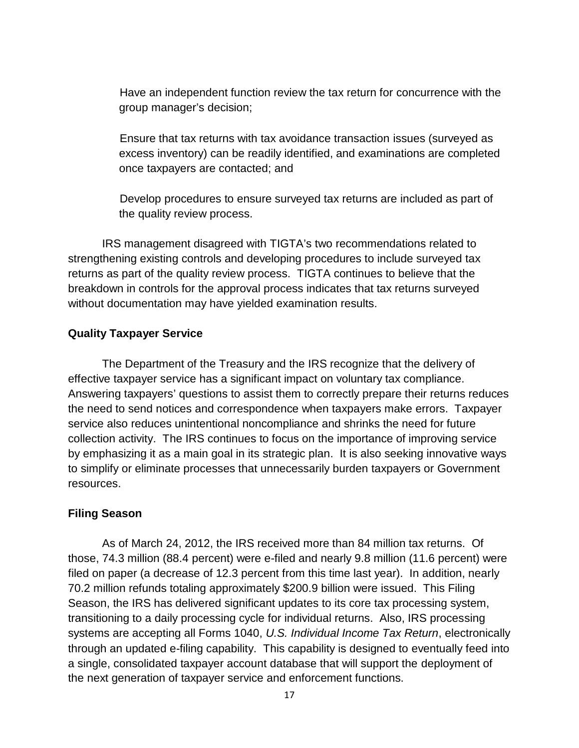Have an independent function review the tax return for concurrence with the group manager's decision;

 Ensure that tax returns with tax avoidance transaction issues (surveyed as excess inventory) can be readily identified, and examinations are completed once taxpayers are contacted; and

 Develop procedures to ensure surveyed tax returns are included as part of the quality review process.

IRS management disagreed with TIGTA's two recommendations related to strengthening existing controls and developing procedures to include surveyed tax returns as part of the quality review process. TIGTA continues to believe that the breakdown in controls for the approval process indicates that tax returns surveyed without documentation may have yielded examination results.

#### **Quality Taxpayer Service**

The Department of the Treasury and the IRS recognize that the delivery of effective taxpayer service has a significant impact on voluntary tax compliance. Answering taxpayers' questions to assist them to correctly prepare their returns reduces the need to send notices and correspondence when taxpayers make errors. Taxpayer service also reduces unintentional noncompliance and shrinks the need for future collection activity. The IRS continues to focus on the importance of improving service by emphasizing it as a main goal in its strategic plan. It is also seeking innovative ways to simplify or eliminate processes that unnecessarily burden taxpayers or Government resources.

# **Filing Season**

As of March 24, 2012, the IRS received more than 84 million tax returns. Of those, 74.3 million (88.4 percent) were e-filed and nearly 9.8 million (11.6 percent) were filed on paper (a decrease of 12.3 percent from this time last year). In addition, nearly 70.2 million refunds totaling approximately \$200.9 billion were issued. This Filing Season, the IRS has delivered significant updates to its core tax processing system, transitioning to a daily processing cycle for individual returns. Also, IRS processing systems are accepting all Forms 1040, *U.S. Individual Income Tax Return*, electronically through an updated e-filing capability. This capability is designed to eventually feed into a single, consolidated taxpayer account database that will support the deployment of the next generation of taxpayer service and enforcement functions.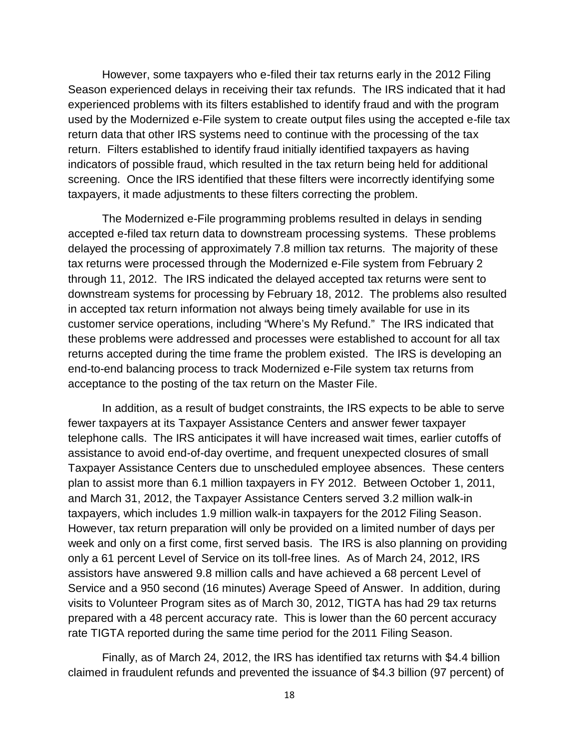However, some taxpayers who e-filed their tax returns early in the 2012 Filing Season experienced delays in receiving their tax refunds. The IRS indicated that it had experienced problems with its filters established to identify fraud and with the program used by the Modernized e-File system to create output files using the accepted e-file tax return data that other IRS systems need to continue with the processing of the tax return. Filters established to identify fraud initially identified taxpayers as having indicators of possible fraud, which resulted in the tax return being held for additional screening. Once the IRS identified that these filters were incorrectly identifying some taxpayers, it made adjustments to these filters correcting the problem.

The Modernized e-File programming problems resulted in delays in sending accepted e-filed tax return data to downstream processing systems. These problems delayed the processing of approximately 7.8 million tax returns. The majority of these tax returns were processed through the Modernized e-File system from February 2 through 11, 2012. The IRS indicated the delayed accepted tax returns were sent to downstream systems for processing by February 18, 2012. The problems also resulted in accepted tax return information not always being timely available for use in its customer service operations, including "Where's My Refund." The IRS indicated that these problems were addressed and processes were established to account for all tax returns accepted during the time frame the problem existed. The IRS is developing an end-to-end balancing process to track Modernized e-File system tax returns from acceptance to the posting of the tax return on the Master File.

In addition, as a result of budget constraints, the IRS expects to be able to serve fewer taxpayers at its Taxpayer Assistance Centers and answer fewer taxpayer telephone calls. The IRS anticipates it will have increased wait times, earlier cutoffs of assistance to avoid end-of-day overtime, and frequent unexpected closures of small Taxpayer Assistance Centers due to unscheduled employee absences. These centers plan to assist more than 6.1 million taxpayers in FY 2012. Between October 1, 2011, and March 31, 2012, the Taxpayer Assistance Centers served 3.2 million walk-in taxpayers, which includes 1.9 million walk-in taxpayers for the 2012 Filing Season. However, tax return preparation will only be provided on a limited number of days per week and only on a first come, first served basis. The IRS is also planning on providing only a 61 percent Level of Service on its toll-free lines. As of March 24, 2012, IRS assistors have answered 9.8 million calls and have achieved a 68 percent Level of Service and a 950 second (16 minutes) Average Speed of Answer. In addition, during visits to Volunteer Program sites as of March 30, 2012, TIGTA has had 29 tax returns prepared with a 48 percent accuracy rate. This is lower than the 60 percent accuracy rate TIGTA reported during the same time period for the 2011 Filing Season.

Finally, as of March 24, 2012, the IRS has identified tax returns with \$4.4 billion claimed in fraudulent refunds and prevented the issuance of \$4.3 billion (97 percent) of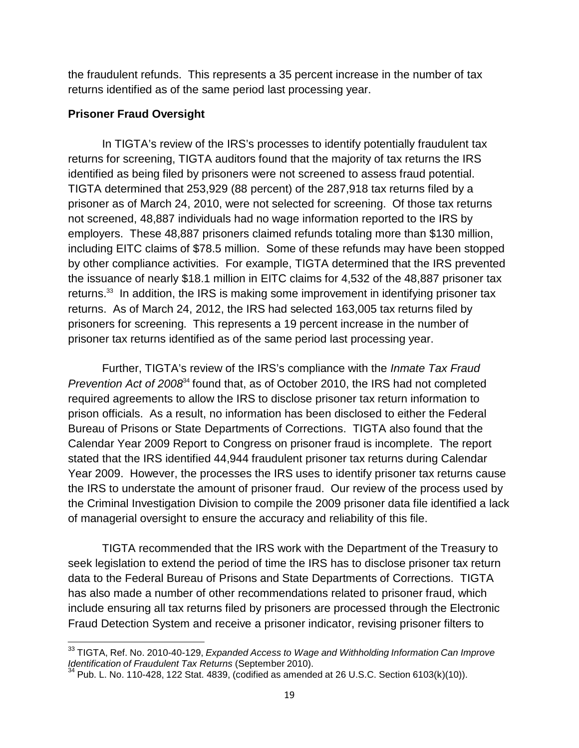the fraudulent refunds. This represents a 35 percent increase in the number of tax returns identified as of the same period last processing year.

## **Prisoner Fraud Oversight**

In TIGTA's review of the IRS's processes to identify potentially fraudulent tax returns for screening, TIGTA auditors found that the majority of tax returns the IRS identified as being filed by prisoners were not screened to assess fraud potential. TIGTA determined that 253,929 (88 percent) of the 287,918 tax returns filed by a prisoner as of March 24, 2010, were not selected for screening. Of those tax returns not screened, 48,887 individuals had no wage information reported to the IRS by employers. These 48,887 prisoners claimed refunds totaling more than \$130 million, including EITC claims of \$78.5 million. Some of these refunds may have been stopped by other compliance activities. For example, TIGTA determined that the IRS prevented the issuance of nearly \$18.1 million in EITC claims for 4,532 of the 48,887 prisoner tax returns.<sup>33</sup> In addition, the IRS is making some improvement in identifying prisoner tax returns. As of March 24, 2012, the IRS had selected 163,005 tax returns filed by prisoners for screening. This represents a 19 percent increase in the number of prisoner tax returns identified as of the same period last processing year.

Further, TIGTA's review of the IRS's compliance with the *Inmate Tax Fraud Prevention Act of 2008*<sup>34</sup> found that, as of October 2010, the IRS had not completed required agreements to allow the IRS to disclose prisoner tax return information to prison officials. As a result, no information has been disclosed to either the Federal Bureau of Prisons or State Departments of Corrections. TIGTA also found that the Calendar Year 2009 Report to Congress on prisoner fraud is incomplete. The report stated that the IRS identified 44,944 fraudulent prisoner tax returns during Calendar Year 2009. However, the processes the IRS uses to identify prisoner tax returns cause the IRS to understate the amount of prisoner fraud. Our review of the process used by the Criminal Investigation Division to compile the 2009 prisoner data file identified a lack of managerial oversight to ensure the accuracy and reliability of this file.

TIGTA recommended that the IRS work with the Department of the Treasury to seek legislation to extend the period of time the IRS has to disclose prisoner tax return data to the Federal Bureau of Prisons and State Departments of Corrections. TIGTA has also made a number of other recommendations related to prisoner fraud, which include ensuring all tax returns filed by prisoners are processed through the Electronic Fraud Detection System and receive a prisoner indicator, revising prisoner filters to

<sup>33</sup> TIGTA, Ref. No. 2010-40-129, *Expanded Access to Wage and Withholding Information Can Improve Identification of Fraudulent Tax Returns* (September 2010). <sup>34</sup> Pub. L. No. 110-428, <sup>122</sup> Stat. 4839, (codified as amended at 26 U.S.C. Section 6103(k)(10)).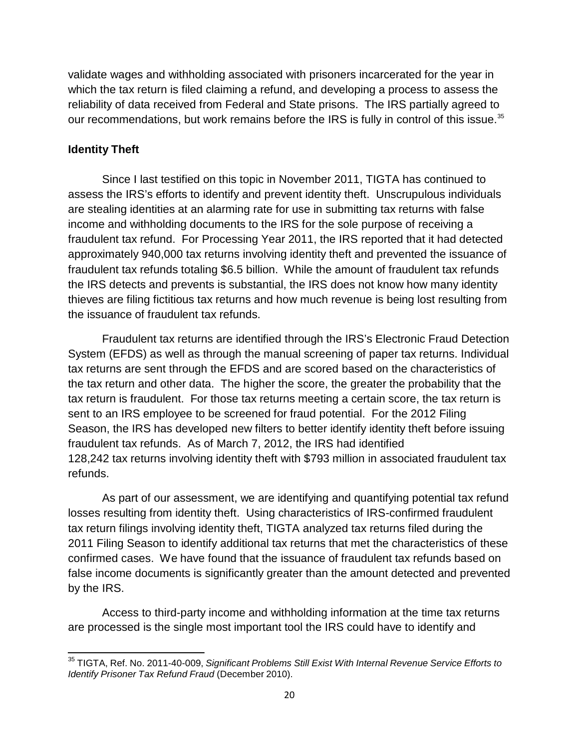validate wages and withholding associated with prisoners incarcerated for the year in which the tax return is filed claiming a refund, and developing a process to assess the reliability of data received from Federal and State prisons. The IRS partially agreed to our recommendations, but work remains before the IRS is fully in control of this issue.<sup>35</sup>

# **Identity Theft**

Since I last testified on this topic in November 2011, TIGTA has continued to assess the IRS's efforts to identify and prevent identity theft. Unscrupulous individuals are stealing identities at an alarming rate for use in submitting tax returns with false income and withholding documents to the IRS for the sole purpose of receiving a fraudulent tax refund. For Processing Year 2011, the IRS reported that it had detected approximately 940,000 tax returns involving identity theft and prevented the issuance of fraudulent tax refunds totaling \$6.5 billion. While the amount of fraudulent tax refunds the IRS detects and prevents is substantial, the IRS does not know how many identity thieves are filing fictitious tax returns and how much revenue is being lost resulting from the issuance of fraudulent tax refunds.

Fraudulent tax returns are identified through the IRS's Electronic Fraud Detection System (EFDS) as well as through the manual screening of paper tax returns. Individual tax returns are sent through the EFDS and are scored based on the characteristics of the tax return and other data. The higher the score, the greater the probability that the tax return is fraudulent. For those tax returns meeting a certain score, the tax return is sent to an IRS employee to be screened for fraud potential. For the 2012 Filing Season, the IRS has developed new filters to better identify identity theft before issuing fraudulent tax refunds. As of March 7, 2012, the IRS had identified 128,242 tax returns involving identity theft with \$793 million in associated fraudulent tax refunds.

As part of our assessment, we are identifying and quantifying potential tax refund losses resulting from identity theft. Using characteristics of IRS-confirmed fraudulent tax return filings involving identity theft, TIGTA analyzed tax returns filed during the 2011 Filing Season to identify additional tax returns that met the characteristics of these confirmed cases. We have found that the issuance of fraudulent tax refunds based on false income documents is significantly greater than the amount detected and prevented by the IRS.

Access to third-party income and withholding information at the time tax returns are processed is the single most important tool the IRS could have to identify and

<sup>35</sup> TIGTA, Ref. No. 2011-40-009, *Significant Problems Still Exist With Internal Revenue Service Efforts to Identify Prisoner Tax Refund Fraud* (December 2010).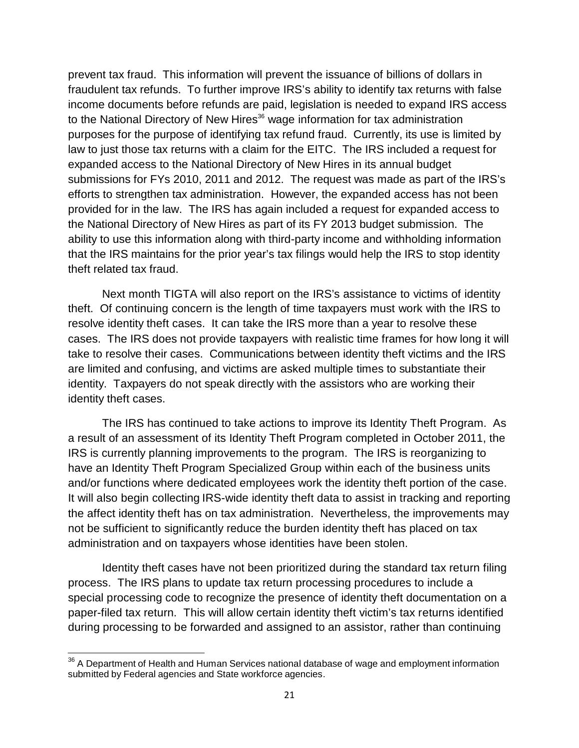prevent tax fraud. This information will prevent the issuance of billions of dollars in fraudulent tax refunds. To further improve IRS's ability to identify tax returns with false income documents before refunds are paid, legislation is needed to expand IRS access to the National Directory of New Hires<sup>36</sup> wage information for tax administration purposes for the purpose of identifying tax refund fraud. Currently, its use is limited by law to just those tax returns with a claim for the EITC. The IRS included a request for expanded access to the National Directory of New Hires in its annual budget submissions for FYs 2010, 2011 and 2012. The request was made as part of the IRS's efforts to strengthen tax administration. However, the expanded access has not been provided for in the law. The IRS has again included a request for expanded access to the National Directory of New Hires as part of its FY 2013 budget submission. The ability to use this information along with third-party income and withholding information that the IRS maintains for the prior year's tax filings would help the IRS to stop identity theft related tax fraud.

Next month TIGTA will also report on the IRS's assistance to victims of identity theft. Of continuing concern is the length of time taxpayers must work with the IRS to resolve identity theft cases. It can take the IRS more than a year to resolve these cases. The IRS does not provide taxpayers with realistic time frames for how long it will take to resolve their cases. Communications between identity theft victims and the IRS are limited and confusing, and victims are asked multiple times to substantiate their identity. Taxpayers do not speak directly with the assistors who are working their identity theft cases.

The IRS has continued to take actions to improve its Identity Theft Program. As a result of an assessment of its Identity Theft Program completed in October 2011, the IRS is currently planning improvements to the program. The IRS is reorganizing to have an Identity Theft Program Specialized Group within each of the business units and/or functions where dedicated employees work the identity theft portion of the case. It will also begin collecting IRS-wide identity theft data to assist in tracking and reporting the affect identity theft has on tax administration. Nevertheless, the improvements may not be sufficient to significantly reduce the burden identity theft has placed on tax administration and on taxpayers whose identities have been stolen.

Identity theft cases have not been prioritized during the standard tax return filing process. The IRS plans to update tax return processing procedures to include a special processing code to recognize the presence of identity theft documentation on a paper-filed tax return. This will allow certain identity theft victim's tax returns identified during processing to be forwarded and assigned to an assistor, rather than continuing

<sup>&</sup>lt;sup>36</sup> A Department of Health and Human Services national database of wage and employment information submitted by Federal agencies and State workforce agencies.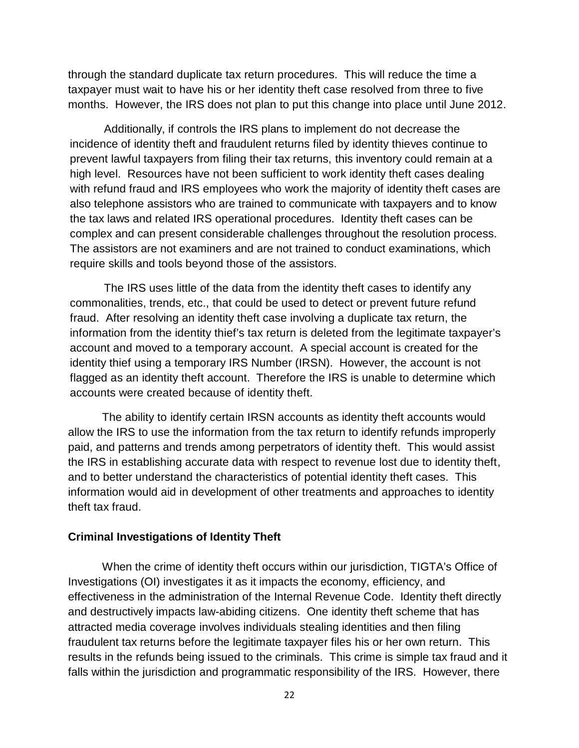through the standard duplicate tax return procedures. This will reduce the time a taxpayer must wait to have his or her identity theft case resolved from three to five months. However, the IRS does not plan to put this change into place until June 2012.

Additionally, if controls the IRS plans to implement do not decrease the incidence of identity theft and fraudulent returns filed by identity thieves continue to prevent lawful taxpayers from filing their tax returns, this inventory could remain at a high level. Resources have not been sufficient to work identity theft cases dealing with refund fraud and IRS employees who work the majority of identity theft cases are also telephone assistors who are trained to communicate with taxpayers and to know the tax laws and related IRS operational procedures. Identity theft cases can be complex and can present considerable challenges throughout the resolution process. The assistors are not examiners and are not trained to conduct examinations, which require skills and tools beyond those of the assistors.

The IRS uses little of the data from the identity theft cases to identify any commonalities, trends, etc., that could be used to detect or prevent future refund fraud. After resolving an identity theft case involving a duplicate tax return, the information from the identity thief's tax return is deleted from the legitimate taxpayer's account and moved to a temporary account. A special account is created for the identity thief using a temporary IRS Number (IRSN). However, the account is not flagged as an identity theft account. Therefore the IRS is unable to determine which accounts were created because of identity theft.

The ability to identify certain IRSN accounts as identity theft accounts would allow the IRS to use the information from the tax return to identify refunds improperly paid, and patterns and trends among perpetrators of identity theft. This would assist the IRS in establishing accurate data with respect to revenue lost due to identity theft, and to better understand the characteristics of potential identity theft cases. This information would aid in development of other treatments and approaches to identity theft tax fraud.

#### **Criminal Investigations of Identity Theft**

When the crime of identity theft occurs within our jurisdiction, TIGTA's Office of Investigations (OI) investigates it as it impacts the economy, efficiency, and effectiveness in the administration of the Internal Revenue Code. Identity theft directly and destructively impacts law-abiding citizens. One identity theft scheme that has attracted media coverage involves individuals stealing identities and then filing fraudulent tax returns before the legitimate taxpayer files his or her own return. This results in the refunds being issued to the criminals. This crime is simple tax fraud and it falls within the jurisdiction and programmatic responsibility of the IRS. However, there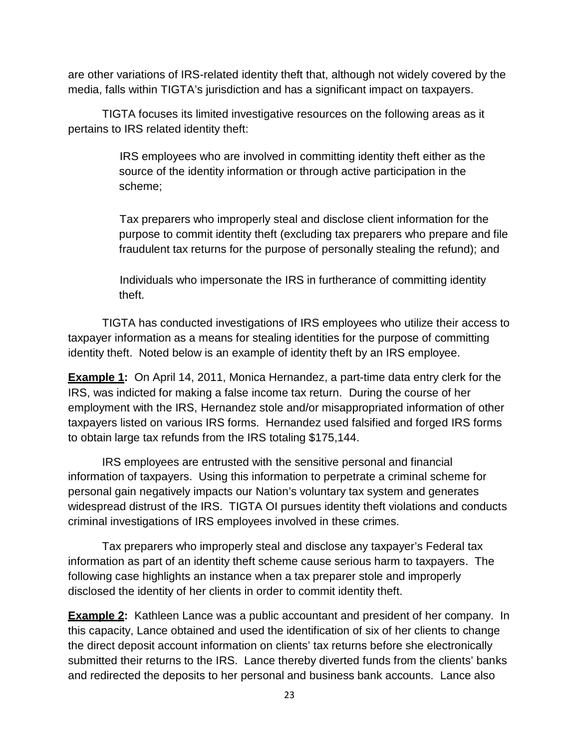are other variations of IRS-related identity theft that, although not widely covered by the media, falls within TIGTA's jurisdiction and has a significant impact on taxpayers.

TIGTA focuses its limited investigative resources on the following areas as it pertains to IRS related identity theft:

> IRS employees who are involved in committing identity theft either as the source of the identity information or through active participation in the scheme;

 Tax preparers who improperly steal and disclose client information for the purpose to commit identity theft (excluding tax preparers who prepare and file fraudulent tax returns for the purpose of personally stealing the refund); and

 Individuals who impersonate the IRS in furtherance of committing identity theft.

TIGTA has conducted investigations of IRS employees who utilize their access to taxpayer information as a means for stealing identities for the purpose of committing identity theft. Noted below is an example of identity theft by an IRS employee.

**Example 1:** On April 14, 2011, Monica Hernandez, a part-time data entry clerk for the IRS, was indicted for making a false income tax return. During the course of her employment with the IRS, Hernandez stole and/or misappropriated information of other taxpayers listed on various IRS forms. Hernandez used falsified and forged IRS forms to obtain large tax refunds from the IRS totaling \$175,144.

IRS employees are entrusted with the sensitive personal and financial information of taxpayers. Using this information to perpetrate a criminal scheme for personal gain negatively impacts our Nation's voluntary tax system and generates widespread distrust of the IRS. TIGTA OI pursues identity theft violations and conducts criminal investigations of IRS employees involved in these crimes.

Tax preparers who improperly steal and disclose any taxpayer's Federal tax information as part of an identity theft scheme cause serious harm to taxpayers. The following case highlights an instance when a tax preparer stole and improperly disclosed the identity of her clients in order to commit identity theft.

**Example 2:** Kathleen Lance was a public accountant and president of her company. In this capacity, Lance obtained and used the identification of six of her clients to change the direct deposit account information on clients' tax returns before she electronically submitted their returns to the IRS. Lance thereby diverted funds from the clients' banks and redirected the deposits to her personal and business bank accounts. Lance also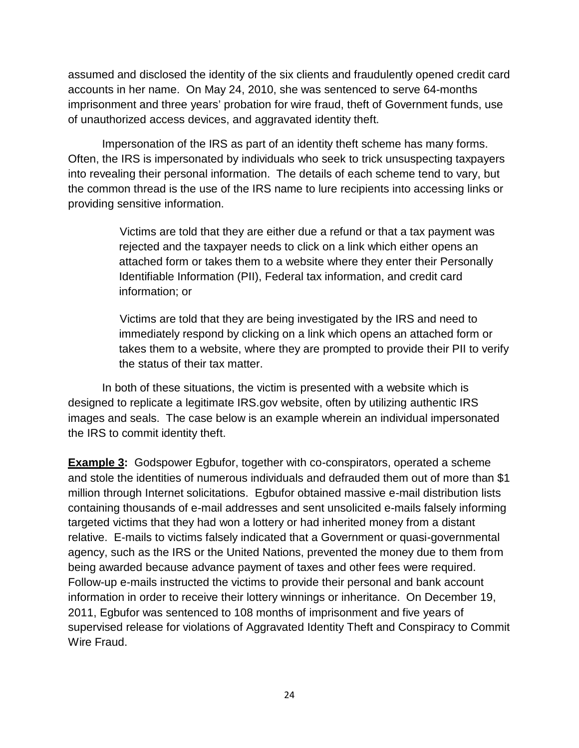assumed and disclosed the identity of the six clients and fraudulently opened credit card accounts in her name. On May 24, 2010, she was sentenced to serve 64-months imprisonment and three years' probation for wire fraud, theft of Government funds, use of unauthorized access devices, and aggravated identity theft.

Impersonation of the IRS as part of an identity theft scheme has many forms. Often, the IRS is impersonated by individuals who seek to trick unsuspecting taxpayers into revealing their personal information. The details of each scheme tend to vary, but the common thread is the use of the IRS name to lure recipients into accessing links or providing sensitive information.

> Victims are told that they are either due a refund or that a tax payment was rejected and the taxpayer needs to click on a link which either opens an attached form or takes them to a website where they enter their Personally Identifiable Information (PII), Federal tax information, and credit card information; or

 Victims are told that they are being investigated by the IRS and need to immediately respond by clicking on a link which opens an attached form or takes them to a website, where they are prompted to provide their PII to verify the status of their tax matter.

In both of these situations, the victim is presented with a website which is designed to replicate a legitimate IRS.gov website, often by utilizing authentic IRS images and seals. The case below is an example wherein an individual impersonated the IRS to commit identity theft.

**Example 3:** Godspower Egbufor, together with co-conspirators, operated a scheme and stole the identities of numerous individuals and defrauded them out of more than \$1 million through Internet solicitations. Egbufor obtained massive e-mail distribution lists containing thousands of e-mail addresses and sent unsolicited e-mails falsely informing targeted victims that they had won a lottery or had inherited money from a distant relative. E-mails to victims falsely indicated that a Government or quasi-governmental agency, such as the IRS or the United Nations, prevented the money due to them from being awarded because advance payment of taxes and other fees were required. Follow-up e-mails instructed the victims to provide their personal and bank account information in order to receive their lottery winnings or inheritance. On December 19, 2011, Egbufor was sentenced to 108 months of imprisonment and five years of supervised release for violations of Aggravated Identity Theft and Conspiracy to Commit Wire Fraud.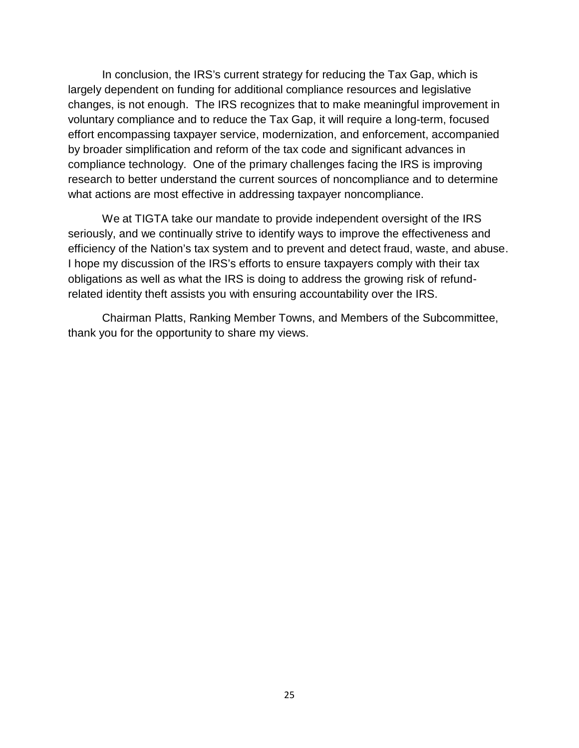In conclusion, the IRS's current strategy for reducing the Tax Gap, which is largely dependent on funding for additional compliance resources and legislative changes, is not enough. The IRS recognizes that to make meaningful improvement in voluntary compliance and to reduce the Tax Gap, it will require a long-term, focused effort encompassing taxpayer service, modernization, and enforcement, accompanied by broader simplification and reform of the tax code and significant advances in compliance technology. One of the primary challenges facing the IRS is improving research to better understand the current sources of noncompliance and to determine what actions are most effective in addressing taxpayer noncompliance.

We at TIGTA take our mandate to provide independent oversight of the IRS seriously, and we continually strive to identify ways to improve the effectiveness and efficiency of the Nation's tax system and to prevent and detect fraud, waste, and abuse. I hope my discussion of the IRS's efforts to ensure taxpayers comply with their tax obligations as well as what the IRS is doing to address the growing risk of refundrelated identity theft assists you with ensuring accountability over the IRS.

Chairman Platts, Ranking Member Towns, and Members of the Subcommittee, thank you for the opportunity to share my views.